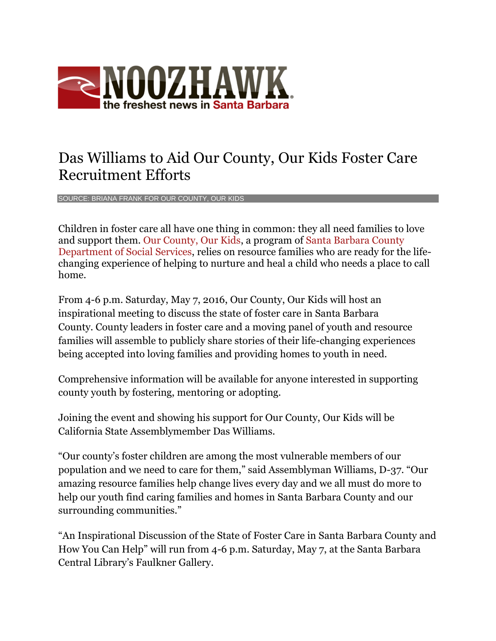

## Das Williams to Aid Our County, Our Kids Foster Care Recruitment Efforts

SOURCE: BRIANA FRANK FOR OUR COUNTY, OUR KIDS

Children in foster care all have one thing in common: they all need families to love and support them. [Our County, Our Kids,](http://ourcountyourkids.org/) a program of [Santa Barbara County](http://www.countyofsb.org/dss)  [Department of Social Services,](http://www.countyofsb.org/dss) relies on resource families who are ready for the lifechanging experience of helping to nurture and heal a child who needs a place to call home.

From 4-6 p.m. Saturday, May 7, 2016, Our County, Our Kids will host an inspirational meeting to discuss the state of foster care in Santa Barbara County. County leaders in foster care and a moving panel of youth and resource families will assemble to publicly share stories of their life-changing experiences being accepted into loving families and providing homes to youth in need.

Comprehensive information will be available for anyone interested in supporting county youth by fostering, mentoring or adopting.

Joining the event and showing his support for Our County, Our Kids will be California State Assemblymember Das Williams.

"Our county's foster children are among the most vulnerable members of our population and we need to care for them," said Assemblyman Williams, D-37. "Our amazing resource families help change lives every day and we all must do more to help our youth find caring families and homes in Santa Barbara County and our surrounding communities."

"An Inspirational Discussion of the State of Foster Care in Santa Barbara County and How You Can Help" will run from 4-6 p.m. Saturday, May 7, at the Santa Barbara Central Library's Faulkner Gallery.